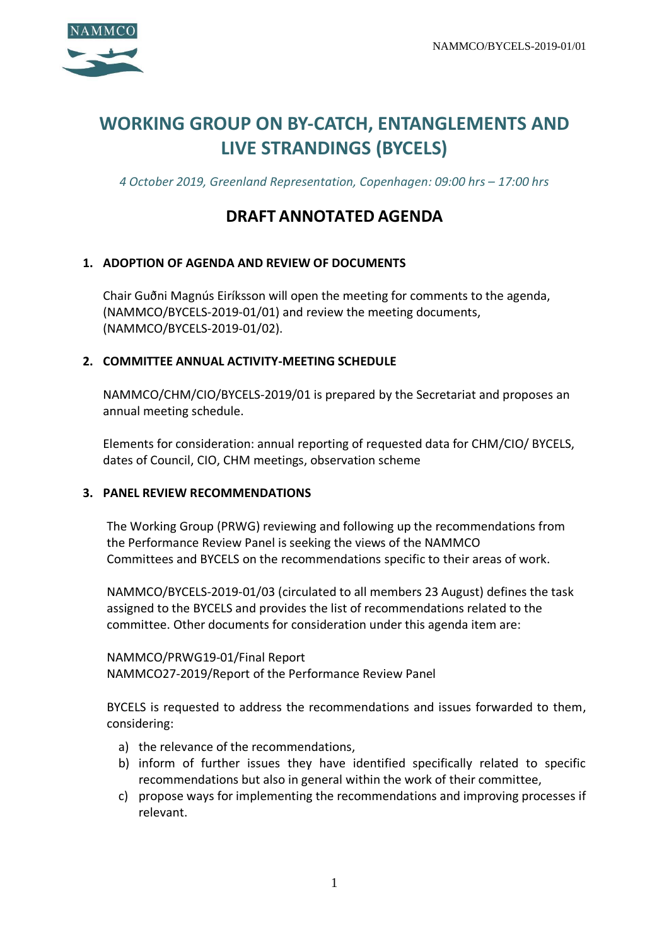

# **WORKING GROUP ON BY-CATCH, ENTANGLEMENTS AND LIVE STRANDINGS (BYCELS)**

*4 October 2019, Greenland Representation, Copenhagen: 09:00 hrs – 17:00 hrs*

# **DRAFT ANNOTATED AGENDA**

### **1. ADOPTION OF AGENDA AND REVIEW OF DOCUMENTS**

Chair Guðni Magnús Eiríksson will open the meeting for comments to the agenda, (NAMMCO/BYCELS-2019-01/01) and review the meeting documents, (NAMMCO/BYCELS-2019-01/02).

#### **2. COMMITTEE ANNUAL ACTIVITY-MEETING SCHEDULE**

NAMMCO/CHM/CIO/BYCELS-2019/01 is prepared by the Secretariat and proposes an annual meeting schedule.

Elements for consideration: annual reporting of requested data for CHM/CIO/ BYCELS, dates of Council, CIO, CHM meetings, observation scheme

#### **3. PANEL REVIEW RECOMMENDATIONS**

The Working Group (PRWG) reviewing and following up the recommendations from the Performance Review Panel is seeking the views of the NAMMCO Committees and BYCELS on the recommendations specific to their areas of work.

NAMMCO/BYCELS-2019-01/03 (circulated to all members 23 August) defines the task assigned to the BYCELS and provides the list of recommendations related to the committee. Other documents for consideration under this agenda item are:

NAMMCO/PRWG19-01/Final Report NAMMCO27-2019/Report of the Performance Review Panel

BYCELS is requested to address the recommendations and issues forwarded to them, considering:

- a) the relevance of the recommendations,
- b) inform of further issues they have identified specifically related to specific recommendations but also in general within the work of their committee,
- c) propose ways for implementing the recommendations and improving processes if relevant.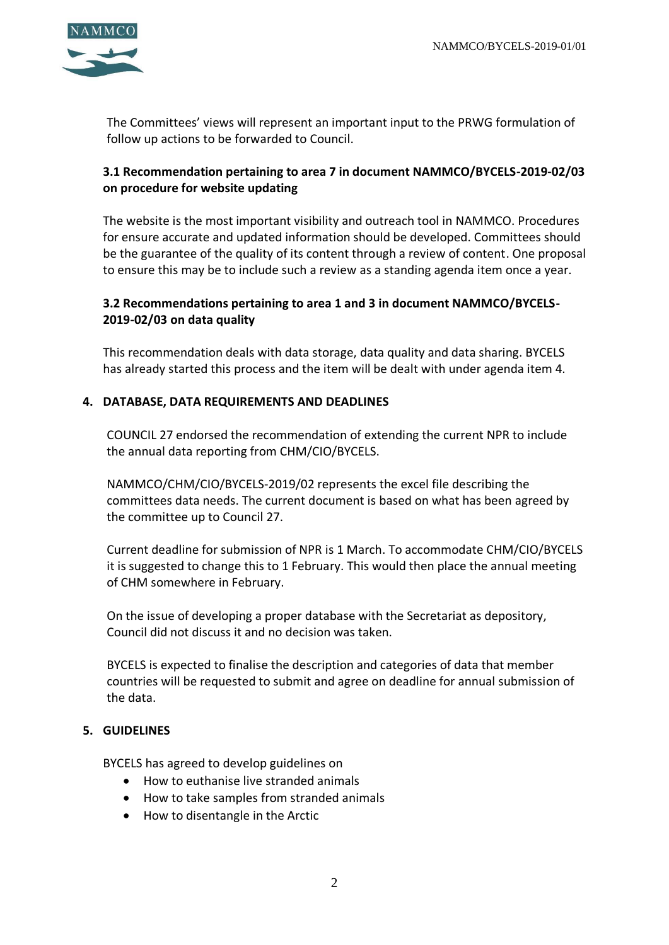

The Committees' views will represent an important input to the PRWG formulation of follow up actions to be forwarded to Council.

# **3.1 Recommendation pertaining to area 7 in document NAMMCO/BYCELS-2019-02/03 on procedure for website updating**

The website is the most important visibility and outreach tool in NAMMCO. Procedures for ensure accurate and updated information should be developed. Committees should be the guarantee of the quality of its content through a review of content. One proposal to ensure this may be to include such a review as a standing agenda item once a year.

# **3.2 Recommendations pertaining to area 1 and 3 in document NAMMCO/BYCELS-2019-02/03 on data quality**

This recommendation deals with data storage, data quality and data sharing. BYCELS has already started this process and the item will be dealt with under agenda item 4.

#### **4. DATABASE, DATA REQUIREMENTS AND DEADLINES**

COUNCIL 27 endorsed the recommendation of extending the current NPR to include the annual data reporting from CHM/CIO/BYCELS.

NAMMCO/CHM/CIO/BYCELS-2019/02 represents the excel file describing the committees data needs. The current document is based on what has been agreed by the committee up to Council 27.

Current deadline for submission of NPR is 1 March. To accommodate CHM/CIO/BYCELS it is suggested to change this to 1 February. This would then place the annual meeting of CHM somewhere in February.

On the issue of developing a proper database with the Secretariat as depository, Council did not discuss it and no decision was taken.

BYCELS is expected to finalise the description and categories of data that member countries will be requested to submit and agree on deadline for annual submission of the data.

### **5. GUIDELINES**

BYCELS has agreed to develop guidelines on

- How to euthanise live stranded animals
- How to take samples from stranded animals
- How to disentangle in the Arctic